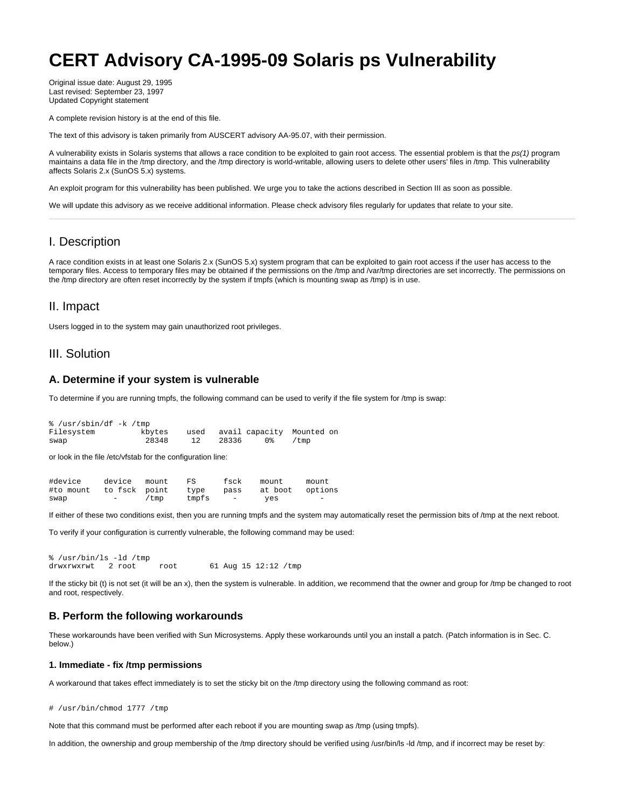# **CERT Advisory CA-1995-09 Solaris ps Vulnerability**

Original issue date: August 29, 1995 Last revised: September 23, 1997 Updated Copyright statement

A complete revision history is at the end of this file.

The text of this advisory is taken primarily from AUSCERT advisory AA-95.07, with their permission.

A vulnerability exists in Solaris systems that allows a race condition to be exploited to gain root access. The essential problem is that the  $ps(1)$  program maintains a data file in the /tmp directory, and the /tmp directory is world-writable, allowing users to delete other users' files in /tmp. This vulnerability affects Solaris 2.x (SunOS 5.x) systems.

An exploit program for this vulnerability has been published. We urge you to take the actions described in Section III as soon as possible.

We will update this advisory as we receive additional information. Please check advisory files regularly for updates that relate to your site.

## I. Description

A race condition exists in at least one Solaris 2.x (SunOS 5.x) system program that can be exploited to gain root access if the user has access to the temporary files. Access to temporary files may be obtained if the permissions on the /tmp and /var/tmp directories are set incorrectly. The permissions on the /tmp directory are often reset incorrectly by the system if tmpfs (which is mounting swap as /tmp) is in use.

#### II. Impact

Users logged in to the system may gain unauthorized root privileges.

## III. Solution

#### **A. Determine if your system is vulnerable**

To determine if you are running tmpfs, the following command can be used to verify if the file system for /tmp is swap:

```
% /usr/sbin/df -k /tmp
Filesystem kbytes used avail capacity Mounted on
swap 28348 12 28336 0% /tmp
```
or look in the file /etc/vfstab for the configuration line:

| #device                 | device mount             |      | FS    | fsck              | mount.          | mount                    |
|-------------------------|--------------------------|------|-------|-------------------|-----------------|--------------------------|
| #to mount to fsck point |                          |      | type  | pass              | at boot options |                          |
| swap                    | $\overline{\phantom{0}}$ | /tmp | tmpfs | $\qquad \qquad -$ | ves             | $\overline{\phantom{a}}$ |

If either of these two conditions exist, then you are running tmpfs and the system may automatically reset the permission bits of /tmp at the next reboot.

To verify if your configuration is currently vulnerable, the following command may be used:

```
% /usr/bin/ls -ld /tmp
                     root 61 Aug 15 12:12 /tmp
```
If the sticky bit (t) is not set (it will be an x), then the system is vulnerable. In addition, we recommend that the owner and group for /tmp be changed to root and root, respectively.

#### **B. Perform the following workarounds**

These workarounds have been verified with Sun Microsystems. Apply these workarounds until you an install a patch. (Patch information is in Sec. C. below.)

#### **1. Immediate - fix /tmp permissions**

A workaround that takes effect immediately is to set the sticky bit on the /tmp directory using the following command as root:

# /usr/bin/chmod 1777 /tmp

Note that this command must be performed after each reboot if you are mounting swap as /tmp (using tmpfs).

In addition, the ownership and group membership of the /tmp directory should be verified using /usr/bin/ls -ld /tmp, and if incorrect may be reset by: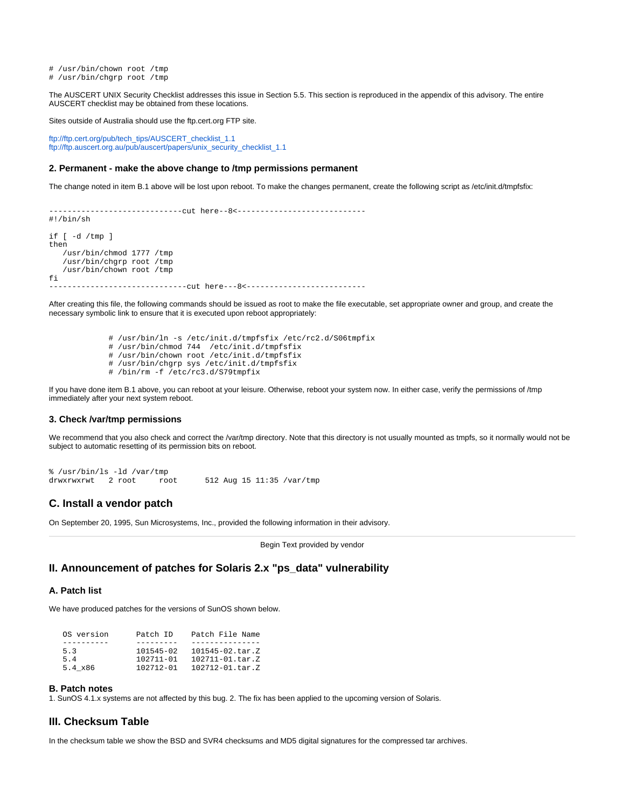# /usr/bin/chown root /tmp # /usr/bin/chgrp root /tmp

The AUSCERT UNIX Security Checklist addresses this issue in Section 5.5. This section is reproduced in the appendix of this advisory. The entire AUSCERT checklist may be obtained from these locations.

Sites outside of Australia should use the ftp.cert.org FTP site.

[ftp://ftp.cert.org/pub/tech\\_tips/AUSCERT\\_checklist\\_1.1](ftp://ftp.cert.org/pub/tech_tips/AUSCERT_checklist_1.1) [ftp://ftp.auscert.org.au/pub/auscert/papers/unix\\_security\\_checklist\\_1.1](ftp://ftp.auscert.org.au/pub/auscert/papers/unix_security_checklist_1.1)

#### **2. Permanent - make the above change to /tmp permissions permanent**

The change noted in item B.1 above will be lost upon reboot. To make the changes permanent, create the following script as /etc/init.d/tmpfsfix:

-----------------------------cut here--8<---------------------------- #!/bin/sh if [ -d /tmp ] then /usr/bin/chmod 1777 /tmp /usr/bin/chgrp root /tmp /usr/bin/chown root /tmp fi ------------------------------cut here---8<--------------------------

After creating this file, the following commands should be issued as root to make the file executable, set appropriate owner and group, and create the necessary symbolic link to ensure that it is executed upon reboot appropriately:

```
 # /usr/bin/ln -s /etc/init.d/tmpfsfix /etc/rc2.d/S06tmpfix
 # /usr/bin/chmod 744 /etc/init.d/tmpfsfix
 # /usr/bin/chown root /etc/init.d/tmpfsfix
 # /usr/bin/chgrp sys /etc/init.d/tmpfsfix
 # /bin/rm -f /etc/rc3.d/S79tmpfix
```
If you have done item B.1 above, you can reboot at your leisure. Otherwise, reboot your system now. In either case, verify the permissions of /tmp immediately after your next system reboot.

#### **3. Check /var/tmp permissions**

We recommend that you also check and correct the /var/tmp directory. Note that this directory is not usually mounted as tmpfs, so it normally would not be subject to automatic resetting of its permission bits on reboot.

```
% /usr/bin/ls -ld /var/tmp
                                512 Aug 15 11:35 /var/tmp
```
## **C. Install a vendor patch**

On September 20, 1995, Sun Microsystems, Inc., provided the following information in their advisory.

Begin Text provided by vendor

## **II. Announcement of patches for Solaris 2.x "ps\_data" vulnerability**

#### **A. Patch list**

We have produced patches for the versions of SunOS shown below.

| OS version | Patch ID      | Patch File Name        |
|------------|---------------|------------------------|
|            |               |                        |
| 53         | $101545 - 02$ | $101545 - 02$ . tar. Z |
| 5.4        | $102711 - 01$ | $102711 - 01$ . tar. Z |
| 5.4 x86    | $102712 - 01$ | $102712 - 01$ . tar. Z |

#### **B. Patch notes**

1. SunOS 4.1.x systems are not affected by this bug. 2. The fix has been applied to the upcoming version of Solaris.

#### **III. Checksum Table**

In the checksum table we show the BSD and SVR4 checksums and MD5 digital signatures for the compressed tar archives.